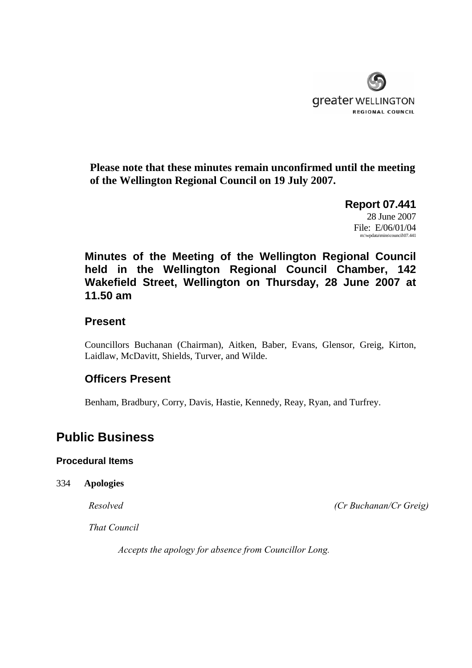

**Please note that these minutes remain unconfirmed until the meeting of the Wellington Regional Council on 19 July 2007.** 

> **Report 07.441**  28 June 2007 File: E/06/01/04 m:\wpdata\mins\council\07.441

**Minutes of the Meeting of the Wellington Regional Council held in the Wellington Regional Council Chamber, 142 Wakefield Street, Wellington on Thursday, 28 June 2007 at 11.50 am** 

# **Present**

Councillors Buchanan (Chairman), Aitken, Baber, Evans, Glensor, Greig, Kirton, Laidlaw, McDavitt, Shields, Turver, and Wilde.

# **Officers Present**

Benham, Bradbury, Corry, Davis, Hastie, Kennedy, Reay, Ryan, and Turfrey.

# **Public Business**

# **Procedural Items**

334 **Apologies**

*Resolved (Cr Buchanan/Cr Greig)*

*That Council* 

*Accepts the apology for absence from Councillor Long.*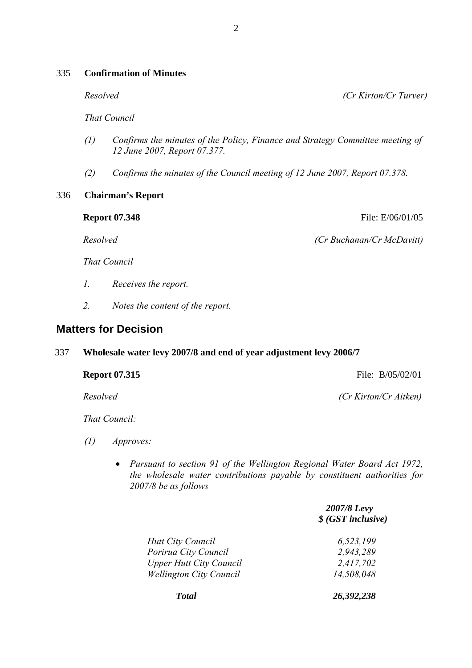# 335 **Confirmation of Minutes**

*Resolved (Cr Kirton/Cr Turver)* 

*That Council* 

- *(1) Confirms the minutes of the Policy, Finance and Strategy Committee meeting of 12 June 2007, Report 07.377.*
- *(2) Confirms the minutes of the Council meeting of 12 June 2007, Report 07.378.*

# 336 **Chairman's Report**

**Report 07.348** File: E/06/01/05

 *Resolved (Cr Buchanan/Cr McDavitt)*

 *That Council* 

- *1. Receives the report.*
- *2. Notes the content of the report.*

# **Matters for Decision**

# 337 **Wholesale water levy 2007/8 and end of year adjustment levy 2006/7**

**Report 07.315 File: B**/05/02/01

*Resolved (Cr Kirton/Cr Aitken)* 

*That Council:* 

- *(1) Approves:* 
	- *Pursuant to section 91 of the Wellington Regional Water Board Act 1972, the wholesale water contributions payable by constituent authorities for 2007/8 be as follows*

|                                | 2007/8 Levy<br>\$ (GST inclusive) |
|--------------------------------|-----------------------------------|
| <b>Hutt City Council</b>       | 6,523,199                         |
| Porirua City Council           | 2,943,289                         |
| <b>Upper Hutt City Council</b> | 2,417,702                         |
| <b>Wellington City Council</b> | 14,508,048                        |
| <b>Total</b>                   | 26,392,238                        |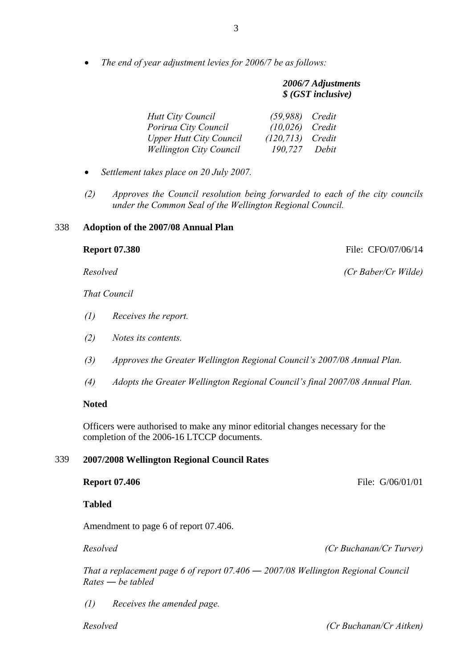• *The end of year adjustment levies for 2006/7 be as follows:* 

| 2006/7 Adjustments |
|--------------------|
| \$ (GST inclusive) |

| <b>Hutt City Council</b>       | $(59,988)$ Credit   |       |
|--------------------------------|---------------------|-------|
| Porirua City Council           | $(10,026)$ Credit   |       |
| Upper Hutt City Council        | $(120, 713)$ Credit |       |
| <b>Wellington City Council</b> | 190.727             | Debit |

- *Settlement takes place on 20 July 2007.*
- *(2) Approves the Council resolution being forwarded to each of the city councils under the Common Seal of the Wellington Regional Council.*

#### 338 **Adoption of the 2007/08 Annual Plan**

 *That Council* 

- *(1) Receives the report.*
- *(2) Notes its contents.*
- *(3) Approves the Greater Wellington Regional Council's 2007/08 Annual Plan.*
- *(4) Adopts the Greater Wellington Regional Council's final 2007/08 Annual Plan.*

# **Noted**

Officers were authorised to make any minor editorial changes necessary for the completion of the 2006-16 LTCCP documents.

## 339 **2007/2008 Wellington Regional Council Rates**

**Tabled** 

Amendment to page 6 of report 07.406.

*Resolved (Cr Buchanan/Cr Turver)*

*That a replacement page 6 of report 07.406 ― 2007/08 Wellington Regional Council Rates ― be tabled* 

*(1) Receives the amended page.* 

 *Resolved (Cr Buchanan/Cr Aitken)*

**Report 07.380 File: CFO/07/06/14** 

 *Resolved (Cr Baber/Cr Wilde)*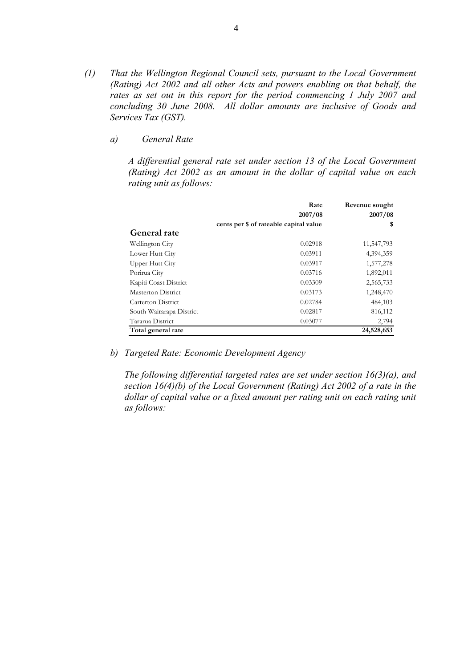- *(1) That the Wellington Regional Council sets, pursuant to the Local Government (Rating) Act 2002 and all other Acts and powers enabling on that behalf, the rates as set out in this report for the period commencing 1 July 2007 and concluding 30 June 2008. All dollar amounts are inclusive of Goods and Services Tax (GST).* 
	- *a) General Rate*

*A differential general rate set under section 13 of the Local Government (Rating) Act 2002 as an amount in the dollar of capital value on each rating unit as follows:* 

|                          | Rate<br>2007/08                        | Revenue sought<br>2007/08 |
|--------------------------|----------------------------------------|---------------------------|
|                          | cents per \$ of rateable capital value | \$                        |
| General rate             |                                        |                           |
| Wellington City          | 0.02918                                | 11,547,793                |
| Lower Hutt City          | 0.03911                                | 4,394,359                 |
| Upper Hutt City          | 0.03917                                | 1,577,278                 |
| Porirua City             | 0.03716                                | 1,892,011                 |
| Kapiti Coast District    | 0.03309                                | 2,565,733                 |
| Masterton District       | 0.03173                                | 1,248,470                 |
| Carterton District       | 0.02784                                | 484,103                   |
| South Wairarapa District | 0.02817                                | 816,112                   |
| Tararua District         | 0.03077                                | 2,794                     |
| Total general rate       |                                        | 24,528,653                |

*b) Targeted Rate: Economic Development Agency* 

*The following differential targeted rates are set under section 16(3)(a), and section 16(4)(b) of the Local Government (Rating) Act 2002 of a rate in the*  dollar of capital value or a fixed amount per rating unit on each rating unit *as follows:*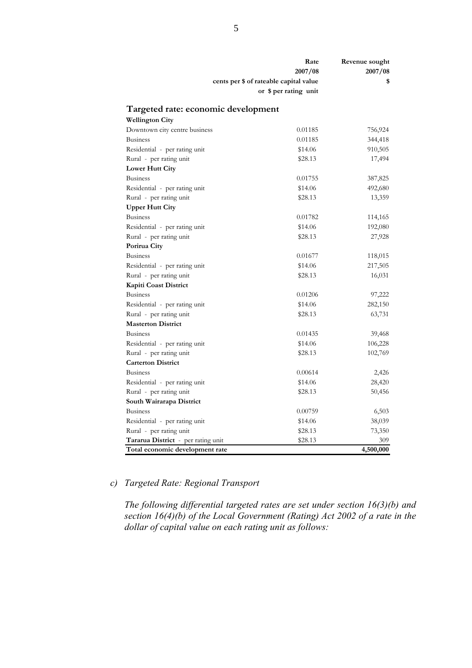|                                     | Rate<br>2007/08<br>cents per \$ of rateable capital value<br>or \$ per rating unit | Revenue sought<br>2007/08<br>\$ |
|-------------------------------------|------------------------------------------------------------------------------------|---------------------------------|
| Targeted rate: economic development |                                                                                    |                                 |
| <b>Wellington City</b>              |                                                                                    |                                 |
| Downtown city centre business       | 0.01185                                                                            | 756,924                         |
| Business                            | 0.01185                                                                            | 344,418                         |
| Residential - per rating unit       | \$14.06                                                                            | 910,505                         |
| Rural - per rating unit             | \$28.13                                                                            | 17,494                          |
| Lower Hutt City                     |                                                                                    |                                 |
| Business                            | 0.01755                                                                            | 387,825                         |
| Residential - per rating unit       | \$14.06                                                                            | 492,680                         |
| Rural - per rating unit             | \$28.13                                                                            | 13,359                          |
| <b>Upper Hutt City</b>              |                                                                                    |                                 |
| <b>Business</b>                     | 0.01782                                                                            | 114,165                         |
| Residential - per rating unit       | \$14.06                                                                            | 192,080                         |
| Rural - per rating unit             | \$28.13                                                                            | 27,928                          |
| Porirua City                        |                                                                                    |                                 |
| <b>Business</b>                     | 0.01677                                                                            | 118,015                         |
| Residential - per rating unit       | \$14.06                                                                            | 217,505                         |
| Rural - per rating unit             | \$28.13                                                                            | 16,031                          |
| Kapiti Coast District               |                                                                                    |                                 |
| <b>Business</b>                     | 0.01206                                                                            | 97,222                          |
| Residential - per rating unit       | \$14.06                                                                            | 282,150                         |
| Rural - per rating unit             | \$28.13                                                                            | 63,731                          |
| <b>Masterton District</b>           |                                                                                    |                                 |
| Business                            | 0.01435                                                                            | 39,468                          |
| Residential - per rating unit       | \$14.06                                                                            | 106,228                         |
| Rural - per rating unit             | \$28.13                                                                            | 102,769                         |
| <b>Carterton District</b>           |                                                                                    |                                 |
| Business                            | 0.00614                                                                            | 2,426                           |
| Residential - per rating unit       | \$14.06                                                                            | 28,420                          |
| Rural - per rating unit             | \$28.13                                                                            | 50,456                          |
| South Wairarapa District            |                                                                                    |                                 |
| Business                            | 0.00759                                                                            | 6,503                           |
| Residential - per rating unit       | \$14.06                                                                            | 38,039                          |
| Rural - per rating unit             | \$28.13                                                                            | 73,350                          |
| Tararua District - per rating unit  | \$28.13                                                                            | 309                             |
| Total economic development rate     |                                                                                    | 4,500,000                       |

# *c) Targeted Rate: Regional Transport*

*The following differential targeted rates are set under section 16(3)(b) and section 16(4)(b) of the Local Government (Rating) Act 2002 of a rate in the dollar of capital value on each rating unit as follows:*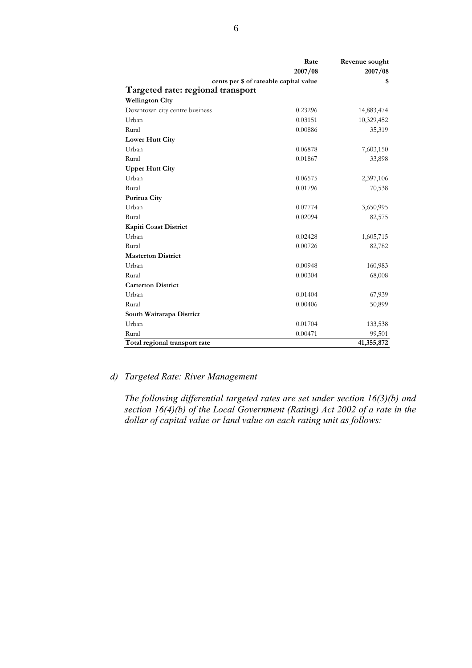|                                   | Rate                                   | Revenue sought |
|-----------------------------------|----------------------------------------|----------------|
|                                   | 2007/08                                | 2007/08        |
|                                   | cents per \$ of rateable capital value | \$             |
| Targeted rate: regional transport |                                        |                |
| <b>Wellington City</b>            |                                        |                |
| Downtown city centre business     | 0.23296                                | 14,883,474     |
| Urban                             | 0.03151                                | 10,329,452     |
| Rural                             | 0.00886                                | 35,319         |
| <b>Lower Hutt City</b>            |                                        |                |
| Urban                             | 0.06878                                | 7,603,150      |
| Rural                             | 0.01867                                | 33,898         |
| <b>Upper Hutt City</b>            |                                        |                |
| Urban                             | 0.06575                                | 2,397,106      |
| Rural                             | 0.01796                                | 70,538         |
| Porirua City                      |                                        |                |
| Urban                             | 0.07774                                | 3,650,995      |
| Rural                             | 0.02094                                | 82,575         |
| Kapiti Coast District             |                                        |                |
| Urban                             | 0.02428                                | 1,605,715      |
| Rural                             | 0.00726                                | 82,782         |
| <b>Masterton District</b>         |                                        |                |
| Urban                             | 0.00948                                | 160,983        |
| Rural                             | 0.00304                                | 68,008         |
| <b>Carterton District</b>         |                                        |                |
| Urban                             | 0.01404                                | 67,939         |
| Rural                             | 0.00406                                | 50,899         |
| South Wairarapa District          |                                        |                |
| Urban                             | 0.01704                                | 133,538        |
| Rural                             | 0.00471                                | 99,501         |
| Total regional transport rate     |                                        | 41,355,872     |

# *d) Targeted Rate: River Management*

*The following differential targeted rates are set under section 16(3)(b) and section 16(4)(b) of the Local Government (Rating) Act 2002 of a rate in the dollar of capital value or land value on each rating unit as follows:*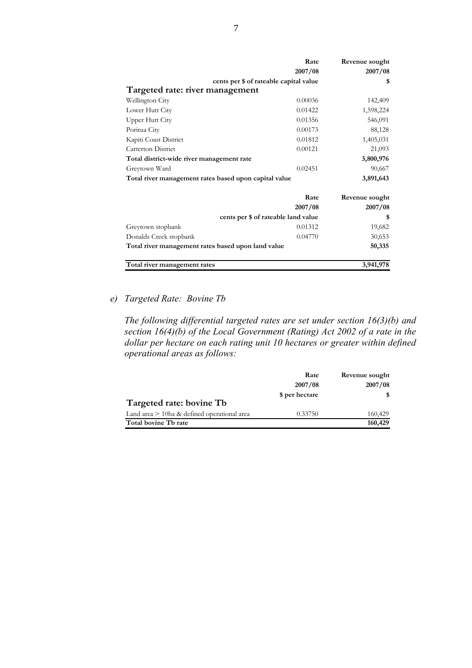|                                                       | Rate                                   | Revenue sought |
|-------------------------------------------------------|----------------------------------------|----------------|
|                                                       | 2007/08                                | 2007/08        |
|                                                       | cents per \$ of rateable capital value | \$             |
| Targeted rate: river management                       |                                        |                |
| Wellington City                                       | 0.00036                                | 142,409        |
| Lower Hutt City                                       | 0.01422                                | 1,598,224      |
| <b>Upper Hutt City</b>                                | 0.01356                                | 546,091        |
| Porirua City                                          | 0.00173                                | 88,128         |
| Kapiti Coast District                                 | 0.01812                                | 1,405,031      |
| Carterton District                                    | 0.00121                                | 21,093         |
| Total district-wide river management rate             |                                        | 3,800,976      |
| Greytown Ward                                         | 0.02451                                | 90,667         |
| Total river management rates based upon capital value |                                        | 3,891,643      |
|                                                       | Rate                                   | Revenue sought |
|                                                       | 2007/08                                | 2007/08        |
|                                                       | cents per \$ of rateable land value    | \$             |
| Greytown stopbank                                     | 0.01312                                | 19,682         |
| Donalds Creek stopbank                                | 0.04770                                | 30,653         |
| Total river management rates based upon land value    |                                        | 50,335         |
| Total river management rates                          |                                        | 3,941,978      |

# *e) Targeted Rate: Bovine Tb*

*The following differential targeted rates are set under section 16(3)(b) and section 16(4)(b) of the Local Government (Rating) Act 2002 of a rate in the dollar per hectare on each rating unit 10 hectares or greater within defined operational areas as follows:* 

|                                               | Rate           | Revenue sought |
|-----------------------------------------------|----------------|----------------|
|                                               | 2007/08        | 2007/08        |
|                                               | \$ per hectare | S.             |
| Targeted rate: bovine Tb                      |                |                |
| Land area $>$ 10ha & defined operational area | 0.33750        | 160,429        |
| Total bovine Tb rate                          |                | 160,429        |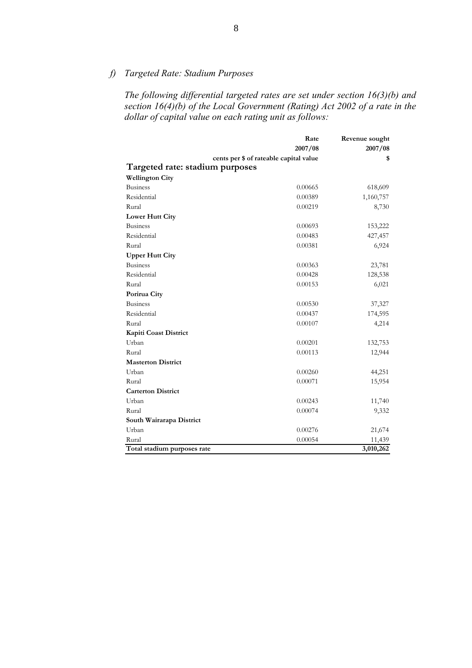# *f) Targeted Rate: Stadium Purposes*

*The following differential targeted rates are set under section 16(3)(b) and section 16(4)(b) of the Local Government (Rating) Act 2002 of a rate in the dollar of capital value on each rating unit as follows:* 

|                                 | Rate                                   | Revenue sought |
|---------------------------------|----------------------------------------|----------------|
|                                 | 2007/08                                | 2007/08        |
|                                 | cents per \$ of rateable capital value | \$             |
| Targeted rate: stadium purposes |                                        |                |
| <b>Wellington City</b>          |                                        |                |
| <b>Business</b>                 | 0.00665                                | 618,609        |
| Residential                     | 0.00389                                | 1,160,757      |
| Rural                           | 0.00219                                | 8,730          |
| <b>Lower Hutt City</b>          |                                        |                |
| <b>Business</b>                 | 0.00693                                | 153,222        |
| Residential                     | 0.00483                                | 427,457        |
| Rural                           | 0.00381                                | 6,924          |
| <b>Upper Hutt City</b>          |                                        |                |
| <b>Business</b>                 | 0.00363                                | 23,781         |
| Residential                     | 0.00428                                | 128,538        |
| Rural                           | 0.00153                                | 6,021          |
| Porirua City                    |                                        |                |
| <b>Business</b>                 | 0.00530                                | 37,327         |
| Residential                     | 0.00437                                | 174,595        |
| Rural                           | 0.00107                                | 4,214          |
| <b>Kapiti Coast District</b>    |                                        |                |
| Urban                           | 0.00201                                | 132,753        |
| Rural                           | 0.00113                                | 12,944         |
| <b>Masterton District</b>       |                                        |                |
| Urban                           | 0.00260                                | 44,251         |
| Rural                           | 0.00071                                | 15,954         |
| <b>Carterton District</b>       |                                        |                |
| Urban                           | 0.00243                                | 11,740         |
| Rural                           | 0.00074                                | 9,332          |
| South Wairarapa District        |                                        |                |
| Urban                           | 0.00276                                | 21,674         |
| Rural                           | 0.00054                                | 11,439         |
| Total stadium purposes rate     |                                        | 3,010,262      |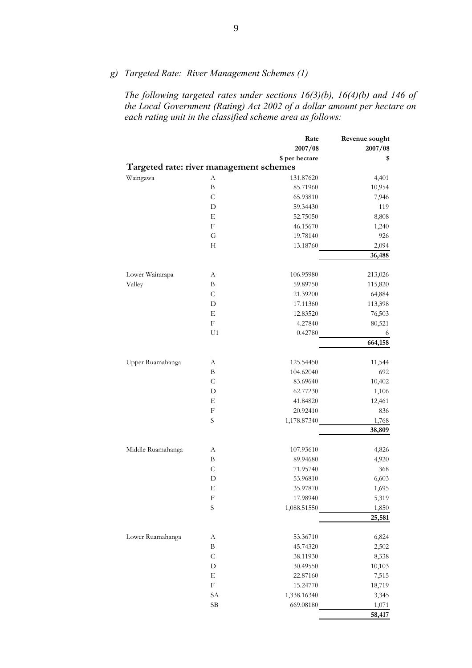*g) Targeted Rate: River Management Schemes (1)* 

*The following targeted rates under sections 16(3)(b), 16(4)(b) and 146 of the Local Government (Rating) Act 2002 of a dollar amount per hectare on each rating unit in the classified scheme area as follows:* 

|                                         |                           | Rate           | Revenue sought  |
|-----------------------------------------|---------------------------|----------------|-----------------|
|                                         |                           | 2007/08        | 2007/08         |
|                                         |                           | \$ per hectare | \$              |
| Targeted rate: river management schemes |                           |                |                 |
| Waingawa                                | A                         | 131.87620      | 4,401           |
|                                         | $\, {\bf B}$              | 85.71960       | 10,954          |
|                                         | $\mathcal{C}$             | 65.93810       | 7,946           |
|                                         | D                         | 59.34430       | 119             |
|                                         | Ε                         | 52.75050       | 8,808           |
|                                         | $\boldsymbol{\mathrm{F}}$ | 46.15670       | 1,240           |
|                                         | G                         | 19.78140       | 926             |
|                                         | $\boldsymbol{\mathrm{H}}$ | 13.18760       | 2,094           |
|                                         |                           |                | 36,488          |
|                                         |                           |                |                 |
| Lower Wairarapa                         | А                         | 106.95980      | 213,026         |
| Valley                                  | B                         | 59.89750       | 115,820         |
|                                         | $\mathsf{C}$              | 21.39200       | 64,884          |
|                                         | D                         | 17.11360       | 113,398         |
|                                         | Ε                         | 12.83520       | 76,503          |
|                                         | $\boldsymbol{\mathrm{F}}$ | 4.27840        | 80,521          |
|                                         | U <sub>1</sub>            | 0.42780        | 6               |
|                                         |                           |                | 664,158         |
| Upper Ruamahanga                        | A                         | 125.54450      | 11,544          |
|                                         | B                         | 104.62040      | 692             |
|                                         | $\mathsf C$               | 83.69640       | 10,402          |
|                                         | D                         | 62.77230       | 1,106           |
|                                         | Ε                         | 41.84820       | 12,461          |
|                                         | F                         | 20.92410       | 836             |
|                                         | S                         | 1,178.87340    |                 |
|                                         |                           |                | 1,768<br>38,809 |
|                                         |                           |                |                 |
| Middle Ruamahanga                       | А                         | 107.93610      | 4,826           |
|                                         | B                         | 89.94680       | 4,920           |
|                                         | $\mathsf C$               | 71.95740       | 368             |
|                                         | D                         | 53.96810       | 6,603           |
|                                         | Е                         | 35.97870       | 1,695           |
|                                         | F                         | 17.98940       | 5,319           |
|                                         | S                         | 1,088.51550    | 1,850           |
|                                         |                           |                | 25,581          |
|                                         |                           |                |                 |
| Lower Ruamahanga                        | А                         | 53.36710       | 6,824           |
|                                         | $\, {\bf B}$              | 45.74320       | 2,502           |
|                                         | $\mathcal{C}$             | 38.11930       | 8,338           |
|                                         | D                         | 30.49550       | 10,103          |
|                                         | Е                         | 22.87160       | 7,515           |
|                                         | $\boldsymbol{\mathrm{F}}$ | 15.24770       | 18,719          |
|                                         | SA                        | 1,338.16340    | 3,345           |
|                                         | SВ                        | 669.08180      | 1,071           |
|                                         |                           |                | 58,417          |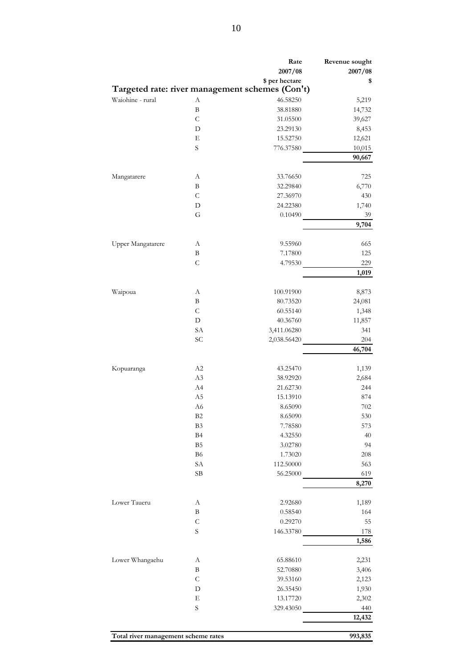|                                     |                | Rate<br>2007/08                                 | Revenue sought<br>2007/08 |
|-------------------------------------|----------------|-------------------------------------------------|---------------------------|
|                                     |                | \$ per hectare                                  | \$                        |
|                                     |                | Targeted rate: river management schemes (Con't) |                           |
| Waiohine - rural                    | А              | 46.58250                                        | 5,219                     |
|                                     | B              | 38.81880                                        | 14,732                    |
|                                     | $\mathcal{C}$  | 31.05500                                        | 39,627                    |
|                                     | D              | 23.29130                                        | 8,453                     |
|                                     | Е              | 15.52750                                        | 12,621                    |
|                                     | S              | 776.37580                                       | 10,015                    |
|                                     |                |                                                 | 90,667                    |
|                                     | А              | 33.76650                                        | 725                       |
| Mangatarere                         | B              | 32.29840                                        |                           |
|                                     | $\mathsf{C}$   |                                                 | 6,770                     |
|                                     |                | 27.36970                                        | 430                       |
|                                     | D              | 24.22380                                        | 1,740                     |
|                                     | G              | 0.10490                                         | 39<br>9,704               |
|                                     |                |                                                 |                           |
| Upper Mangatarere                   | А              | 9.55960                                         | 665                       |
|                                     | B              | 7.17800                                         | 125                       |
|                                     | $\mathsf{C}$   | 4.79530                                         | 229                       |
|                                     |                |                                                 | 1,019                     |
| Waipoua                             | А              | 100.91900                                       | 8,873                     |
|                                     | B              | 80.73520                                        | 24,081                    |
|                                     | $\mathsf{C}$   | 60.55140                                        | 1,348                     |
|                                     | D              |                                                 |                           |
|                                     | SA             | 40.36760                                        | 11,857<br>341             |
|                                     | SC             | 3,411.06280<br>2,038.56420                      |                           |
|                                     |                |                                                 | 204<br>46,704             |
|                                     |                |                                                 |                           |
| Kopuaranga                          | A2             | 43.25470                                        | 1,139                     |
|                                     | A <sub>3</sub> | 38.92920                                        | 2,684                     |
|                                     | A4             | 21.62730                                        | 244                       |
|                                     | A <sub>5</sub> | 15.13910                                        | 874                       |
|                                     | A6             | 8.65090                                         | $702\,$                   |
|                                     | B <sub>2</sub> | 8.65090                                         | 530                       |
|                                     | B <sub>3</sub> | 7.78580                                         | 573                       |
|                                     | B <sub>4</sub> | 4.32550                                         | 40                        |
|                                     | B <sub>5</sub> | 3.02780                                         | 94                        |
|                                     | B <sub>6</sub> | 1.73020                                         | 208                       |
|                                     | SA             | 112.50000                                       | 563                       |
|                                     | SB             | 56.25000                                        | 619                       |
|                                     |                |                                                 | 8,270                     |
|                                     |                |                                                 |                           |
| Lower Taueru                        | А              | 2.92680                                         | 1,189                     |
|                                     | B              | 0.58540                                         | 164                       |
|                                     | $\mathsf{C}$   | 0.29270                                         | 55                        |
|                                     | S              | 146.33780                                       | $178\,$                   |
|                                     |                |                                                 | 1,586                     |
| Lower Whangaehu                     | А              | 65.88610                                        | 2,231                     |
|                                     | B              | 52.70880                                        | 3,406                     |
|                                     | $\mathsf{C}$   | 39.53160                                        | 2,123                     |
|                                     | D              | 26.35450                                        | 1,930                     |
|                                     |                |                                                 |                           |
|                                     | $\mathbf E$    | 13.17720                                        | 2,302                     |
|                                     | $\mathbf S$    | 329.43050                                       | 440<br>12,432             |
|                                     |                |                                                 |                           |
| Total river management scheme rates |                |                                                 | 993,835                   |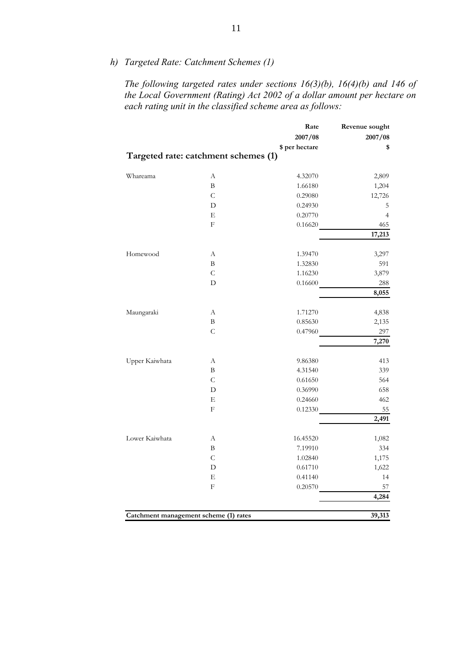*h) Targeted Rate: Catchment Schemes (1)* 

*The following targeted rates under sections 16(3)(b), 16(4)(b) and 146 of the Local Government (Rating) Act 2002 of a dollar amount per hectare on each rating unit in the classified scheme area as follows:* 

|                                       |                                      | Rate           | Revenue sought |
|---------------------------------------|--------------------------------------|----------------|----------------|
|                                       |                                      | 2007/08        | 2007/08        |
|                                       |                                      | \$ per hectare | \$             |
|                                       | Targeted rate: catchment schemes (1) |                |                |
| Whareama                              | А                                    | 4.32070        | 2,809          |
|                                       | B                                    | 1.66180        | 1,204          |
|                                       | $\overline{C}$                       | 0.29080        | 12,726         |
|                                       | D                                    | 0.24930        | 5              |
|                                       | Е                                    | 0.20770        | $\overline{4}$ |
|                                       | $\mathbf F$                          | 0.16620        | 465            |
|                                       |                                      |                | 17,213         |
| Homewood                              | А                                    | 1.39470        | 3,297          |
|                                       | B                                    | 1.32830        | 591            |
|                                       | $\mathsf{C}$                         | 1.16230        | 3,879          |
|                                       | D                                    | 0.16600        | $288\,$        |
|                                       |                                      |                | 8,055          |
| Maungaraki                            | А                                    | 1.71270        | 4,838          |
|                                       | B                                    | 0.85630        | 2,135          |
|                                       | $\mathcal{C}$                        | 0.47960        | 297            |
|                                       |                                      |                | 7,270          |
| Upper Kaiwhata                        | А                                    | 9.86380        | 413            |
|                                       | B                                    | 4.31540        | 339            |
|                                       | C                                    | 0.61650        | 564            |
|                                       | D                                    | 0.36990        | 658            |
|                                       | Е                                    | 0.24660        | 462            |
|                                       | F                                    | 0.12330        | 55             |
|                                       |                                      |                | 2,491          |
| Lower Kaiwhata                        | А                                    | 16.45520       | 1,082          |
|                                       | B                                    | 7.19910        | 334            |
|                                       | $\mathsf{C}$                         | 1.02840        | 1,175          |
|                                       | D                                    | 0.61710        | 1,622          |
|                                       | Е                                    | 0.41140        | 14             |
|                                       | $\rm F$                              | 0.20570        | 57             |
|                                       |                                      |                | 4,284          |
| Catchment management scheme (1) rates |                                      |                | 39,313         |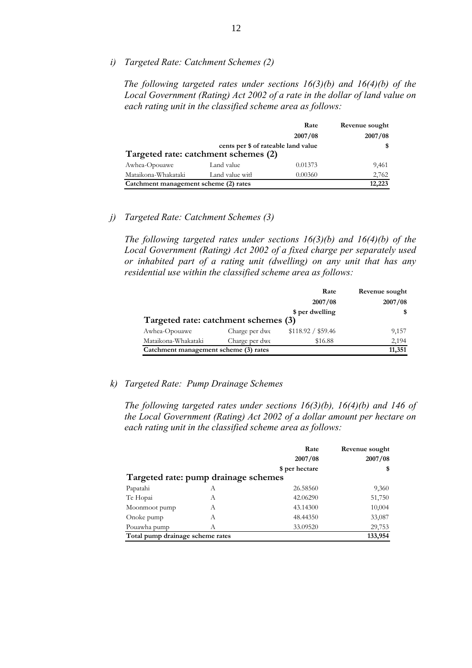*i) Targeted Rate: Catchment Schemes (2)* 

*The following targeted rates under sections 16(3)(b) and 16(4)(b) of the Local Government (Rating) Act 2002 of a rate in the dollar of land value on each rating unit in the classified scheme area as follows:* 

|                                       |                                                                             | Rate    | Revenue sought |
|---------------------------------------|-----------------------------------------------------------------------------|---------|----------------|
|                                       |                                                                             | 2007/08 | 2007/08        |
|                                       | cents per \$ of rateable land value<br>Targeted rate: catchment schemes (2) |         | \$             |
|                                       |                                                                             |         |                |
| Awhea-Opouawe                         | Land value                                                                  | 0.01373 | 9,461          |
| Mataikona-Whakataki                   | Land value with                                                             | 0.00360 | 2,762          |
| Catchment management scheme (2) rates |                                                                             |         | 12,223         |

# *j) Targeted Rate: Catchment Schemes (3)*

*The following targeted rates under sections 16(3)(b) and 16(4)(b) of the Local Government (Rating) Act 2002 of a fixed charge per separately used or inhabited part of a rating unit (dwelling) on any unit that has any residential use within the classified scheme area as follows:* 

|                                       |                | Rate               | Revenue sought |
|---------------------------------------|----------------|--------------------|----------------|
|                                       |                | 2007/08            | 2007/08        |
|                                       |                | \$ per dwelling    |                |
| Targeted rate: catchment schemes (3)  |                |                    |                |
| Awhea-Opouawe                         | Charge per dwe | \$118.92 / \$59.46 | 9,157          |
| Mataikona-Whakataki                   | Charge per dwe | \$16.88            | 2,194          |
| Catchment management scheme (3) rates |                |                    | 11,351         |

### *k) Targeted Rate: Pump Drainage Schemes*

*The following targeted rates under sections 16(3)(b), 16(4)(b) and 146 of the Local Government (Rating) Act 2002 of a dollar amount per hectare on each rating unit in the classified scheme area as follows:* 

|                                      |   | Rate<br>2007/08 | Revenue sought<br>2007/08 |
|--------------------------------------|---|-----------------|---------------------------|
|                                      |   | \$ per hectare  | \$                        |
| Targeted rate: pump drainage schemes |   |                 |                           |
| Papatahi                             | А | 26.58560        | 9,360                     |
| Te Hopai                             | А | 42.06290        | 51,750                    |
| Moonmoot pump                        | А | 43.14300        | 10,004                    |
| Onoke pump                           | А | 48.44350        | 33,087                    |
| Pouawha pump                         | А | 33.09520        | 29,753                    |
| Total pump drainage scheme rates     |   |                 | 133,954                   |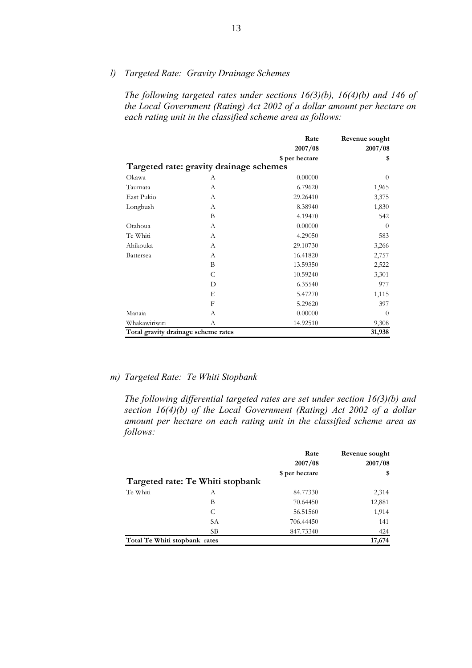*l) Targeted Rate: Gravity Drainage Schemes* 

*The following targeted rates under sections 16(3)(b), 16(4)(b) and 146 of the Local Government (Rating) Act 2002 of a dollar amount per hectare on each rating unit in the classified scheme area as follows:* 

|                                     |                                         | Rate           | Revenue sought |
|-------------------------------------|-----------------------------------------|----------------|----------------|
|                                     |                                         | 2007/08        | 2007/08        |
|                                     |                                         | \$ per hectare | \$             |
|                                     | Targeted rate: gravity drainage schemes |                |                |
| Okawa                               | А                                       | 0.00000        | $\theta$       |
| Taumata                             | A                                       | 6.79620        | 1,965          |
| East Pukio                          | A                                       | 29.26410       | 3,375          |
| Longbush                            | A                                       | 8.38940        | 1,830          |
|                                     | B                                       | 4.19470        | 542            |
| Otahoua                             | A                                       | 0.00000        | $\Omega$       |
| Te Whiti                            | A                                       | 4.29050        | 583            |
| Ahikouka                            | $\overline{A}$                          | 29.10730       | 3,266          |
| <b>Battersea</b>                    | А                                       | 16.41820       | 2,757          |
|                                     | B                                       | 13.59350       | 2,522          |
|                                     | C                                       | 10.59240       | 3,301          |
|                                     | D                                       | 6.35540        | 977            |
|                                     | E                                       | 5.47270        | 1,115          |
|                                     | F                                       | 5.29620        | 397            |
| Manaia                              | A                                       | 0.00000        | $\theta$       |
| Whakawiriwiri                       | A                                       | 14.92510       | 9,308          |
| Total gravity drainage scheme rates |                                         |                | 31,938         |

#### *m) Targeted Rate: Te Whiti Stopbank*

*The following differential targeted rates are set under section 16(3)(b) and section 16(4)(b) of the Local Government (Rating) Act 2002 of a dollar amount per hectare on each rating unit in the classified scheme area as follows:* 

|                               |                                  | Rate           | Revenue sought |
|-------------------------------|----------------------------------|----------------|----------------|
|                               |                                  | 2007/08        | 2007/08        |
|                               |                                  | \$ per hectare | \$             |
|                               | Targeted rate: Te Whiti stopbank |                |                |
| Te Whiti                      | А                                | 84.77330       | 2,314          |
|                               | В                                | 70.64450       | 12,881         |
|                               | C                                | 56.51560       | 1,914          |
|                               | SА                               | 706.44450      | 141            |
|                               | SВ                               | 847.73340      | 424            |
| Total Te Whiti stopbank rates |                                  |                | 17,674         |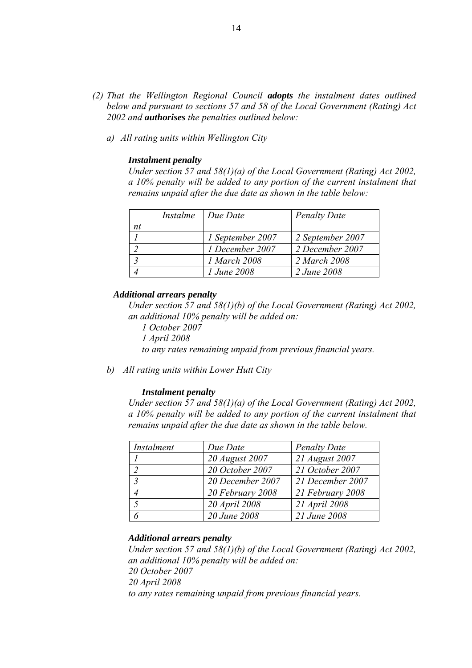- *(2) That the Wellington Regional Council adopts the instalment dates outlined below and pursuant to sections 57 and 58 of the Local Government (Rating) Act 2002 and authorises the penalties outlined below:* 
	- *a) All rating units within Wellington City*

#### *Instalment penalty*

*Under section 57 and 58(1)(a) of the Local Government (Rating) Act 2002, a 10% penalty will be added to any portion of the current instalment that remains unpaid after the due date as shown in the table below:* 

|    | Instalme Due Date  | <b>Penalty Date</b> |
|----|--------------------|---------------------|
| nt |                    |                     |
|    | 1 September 2007   | 2 September 2007    |
|    | 1 December 2007    | 2 December 2007     |
|    | 1 March 2008       | 2 March 2008        |
|    | <i>1 June 2008</i> | 2 June 2008         |

#### *Additional arrears penalty*

 *Under section 57 and 58(1)(b) of the Local Government (Rating) Act 2002, an additional 10% penalty will be added on:* 

*1 October 2007 1 April 2008 to any rates remaining unpaid from previous financial years.* 

*b) All rating units within Lower Hutt City* 

#### *Instalment penalty*

*Under section 57 and 58(1)(a) of the Local Government (Rating) Act 2002, a 10% penalty will be added to any portion of the current instalment that remains unpaid after the due date as shown in the table below.* 

| Instalment    | Due Date         | <b>Penalty Date</b> |
|---------------|------------------|---------------------|
|               | 20 August 2007   | 21 August 2007      |
|               | 20 October 2007  | 21 October 2007     |
| $\mathcal{R}$ | 20 December 2007 | 21 December 2007    |
|               | 20 February 2008 | 21 February 2008    |
|               | 20 April 2008    | 21 April 2008       |
|               | 20 June 2008     | 21 June 2008        |

#### *Additional arrears penalty*

*Under section 57 and 58(1)(b) of the Local Government (Rating) Act 2002, an additional 10% penalty will be added on: 20 October 2007 20 April 2008 to any rates remaining unpaid from previous financial years.*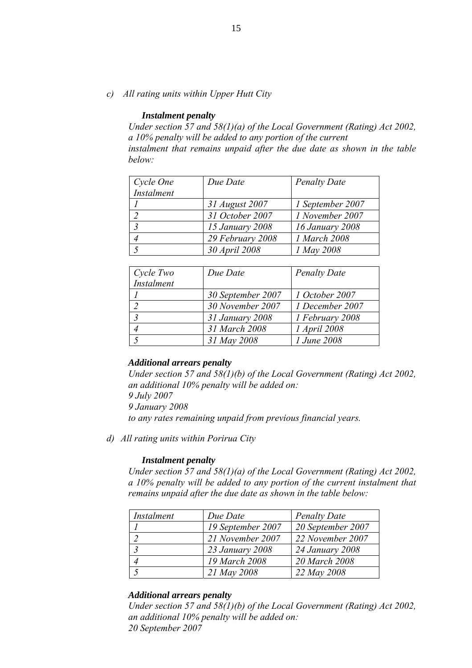```
c) All rating units within Upper Hutt City
```
#### *Instalment penalty*

*Under section 57 and 58(1)(a) of the Local Government (Rating) Act 2002, a 10% penalty will be added to any portion of the current instalment that remains unpaid after the due date as shown in the table below:* 

| Cycle One      | Due Date         | <b>Penalty Date</b>           |
|----------------|------------------|-------------------------------|
| Instalment     |                  |                               |
|                | 31 August 2007   | 1 September 2007              |
|                | 31 October 2007  | 1 November 2007               |
| $\overline{3}$ | 15 January 2008  | <i><b>16 January 2008</b></i> |
|                | 29 February 2008 | 1 March 2008                  |
|                | 30 April 2008    | 1 May 2008                    |

| Cycle Two         | Due Date          | <b>Penalty Date</b> |
|-------------------|-------------------|---------------------|
| <b>Instalment</b> |                   |                     |
|                   | 30 September 2007 | 1 October 2007      |
|                   | 30 November 2007  | 1 December 2007     |
|                   | 31 January 2008   | 1 February 2008     |
|                   | 31 March 2008     | 1 April 2008        |
|                   | 31 May 2008       | 1 June 2008         |

### *Additional arrears penalty*

*Under section 57 and 58(1)(b) of the Local Government (Rating) Act 2002, an additional 10% penalty will be added on: 9 July 2007 9 January 2008 to any rates remaining unpaid from previous financial years.* 

*d) All rating units within Porirua City* 

#### *Instalment penalty*

*Under section 57 and 58(1)(a) of the Local Government (Rating) Act 2002, a 10% penalty will be added to any portion of the current instalment that remains unpaid after the due date as shown in the table below:* 

| Instalment | Due Date          | <b>Penalty Date</b> |
|------------|-------------------|---------------------|
|            | 19 September 2007 | 20 September 2007   |
|            | 21 November 2007  | 22 November 2007    |
|            | 23 January 2008   | 24 January 2008     |
|            | 19 March 2008     | 20 March 2008       |
|            | 21 May 2008       | 22 May 2008         |

#### *Additional arrears penalty*

*Under section 57 and 58(1)(b) of the Local Government (Rating) Act 2002, an additional 10% penalty will be added on: 20 September 2007*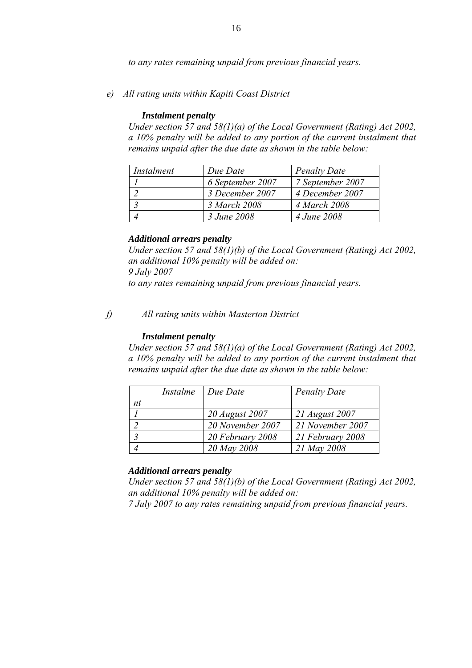*to any rates remaining unpaid from previous financial years.* 

*e) All rating units within Kapiti Coast District* 

#### *Instalment penalty*

*Under section 57 and 58(1)(a) of the Local Government (Rating) Act 2002, a 10% penalty will be added to any portion of the current instalment that remains unpaid after the due date as shown in the table below:* 

| Instalment | Due Date         | <b>Penalty Date</b> |
|------------|------------------|---------------------|
|            | 6 September 2007 | 7 September 2007    |
|            | 3 December 2007  | 4 December 2007     |
|            | 3 March 2008     | 4 March 2008        |
|            | 3 June 2008      | 4 June 2008         |

## *Additional arrears penalty*

*Under section 57 and 58(1)(b) of the Local Government (Rating) Act 2002, an additional 10% penalty will be added on: 9 July 2007 to any rates remaining unpaid from previous financial years.* 

*f) All rating units within Masterton District* 

#### *Instalment penalty*

*Under section 57 and 58(1)(a) of the Local Government (Rating) Act 2002, a 10% penalty will be added to any portion of the current instalment that remains unpaid after the due date as shown in the table below:* 

|    | Instalme | $Due$ Date       | <b>Penalty Date</b> |
|----|----------|------------------|---------------------|
| nt |          |                  |                     |
|    |          | 20 August 2007   | 21 August 2007      |
|    |          | 20 November 2007 | 21 November 2007    |
|    |          | 20 February 2008 | 21 February 2008    |
|    |          | 20 May 2008      | 21 May 2008         |

### *Additional arrears penalty*

*Under section 57 and 58(1)(b) of the Local Government (Rating) Act 2002, an additional 10% penalty will be added on:* 

*7 July 2007 to any rates remaining unpaid from previous financial years.*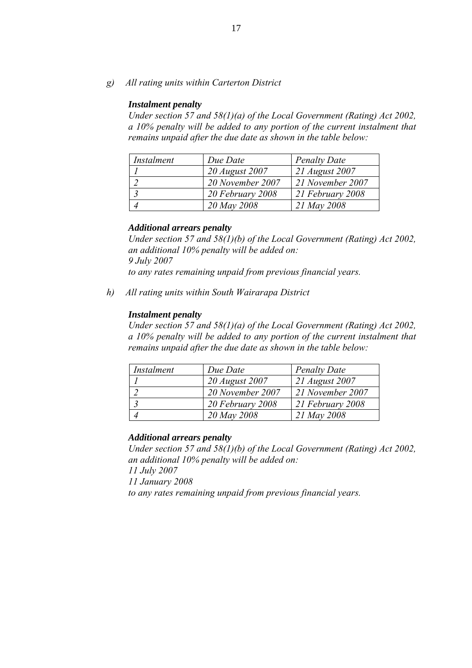*g) All rating units within Carterton District* 

#### *Instalment penalty*

*Under section 57 and 58(1)(a) of the Local Government (Rating) Act 2002, a 10% penalty will be added to any portion of the current instalment that remains unpaid after the due date as shown in the table below:* 

| Instalment | Due Date         | <b>Penalty Date</b> |
|------------|------------------|---------------------|
|            | 20 August 2007   | 21 August 2007      |
|            | 20 November 2007 | 21 November 2007    |
|            | 20 February 2008 | 21 February 2008    |
|            | 20 May 2008      | 21 May 2008         |

## *Additional arrears penalty*

*Under section 57 and 58(1)(b) of the Local Government (Rating) Act 2002, an additional 10% penalty will be added on: 9 July 2007 to any rates remaining unpaid from previous financial years.* 

*h) All rating units within South Wairarapa District* 

### *Instalment penalty*

*Under section 57 and 58(1)(a) of the Local Government (Rating) Act 2002, a 10% penalty will be added to any portion of the current instalment that remains unpaid after the due date as shown in the table below:* 

| Instalment | Due Date         | <b>Penalty Date</b> |
|------------|------------------|---------------------|
|            | 20 August 2007   | 21 August 2007      |
|            | 20 November 2007 | 21 November 2007    |
|            | 20 February 2008 | 21 February 2008    |
|            | 20 May 2008      | 21 May 2008         |

### *Additional arrears penalty*

*Under section 57 and 58(1)(b) of the Local Government (Rating) Act 2002, an additional 10% penalty will be added on:* 

*11 July 2007* 

*11 January 2008*

*to any rates remaining unpaid from previous financial years.*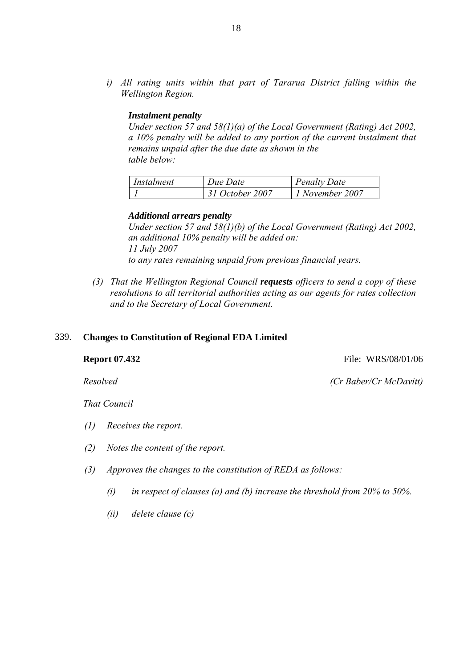*i) All rating units within that part of Tararua District falling within the Wellington Region.* 

# *Instalment penalty*

*Under section 57 and 58(1)(a) of the Local Government (Rating) Act 2002, a 10% penalty will be added to any portion of the current instalment that remains unpaid after the due date as shown in the table below:* 

| Instalment | Due Date        | <b>Penalty Date</b> |
|------------|-----------------|---------------------|
|            | 31 October 2007 | 1 November 2007     |

#### *Additional arrears penalty*

*Under section 57 and 58(1)(b) of the Local Government (Rating) Act 2002, an additional 10% penalty will be added on: 11 July 2007 to any rates remaining unpaid from previous financial years.* 

*(3) That the Wellington Regional Council requests officers to send a copy of these resolutions to all territorial authorities acting as our agents for rates collection and to the Secretary of Local Government.* 

#### 339. **Changes to Constitution of Regional EDA Limited**

**Report 07.432 File: WRS/08/01/06** 

 *Resolved (Cr Baber/Cr McDavitt)*

 *That Council* 

- *(1) Receives the report.*
- *(2) Notes the content of the report.*
- *(3) Approves the changes to the constitution of REDA as follows:* 
	- *(i) in respect of clauses (a) and (b) increase the threshold from 20% to 50%.*
	- *(ii) delete clause (c)*